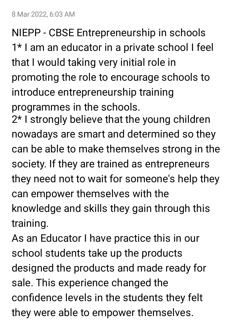8 Mar 2022, 6:03 AM

NIEPP - CBSE Entrepreneurship in schools 1\* I am an educator in a private school I feel that I would taking very initial role in promoting the role to encourage schools to introduce entrepreneurship training programmes in the schools.

2\* I strongly believe that the young children nowadays are smart and determined so they can be able to make themselves strong in the society. If they are trained as entrepreneurs they need not to wait for someone's help they can empower themselves with the knowledge and skills they gain through this training.

As an Educator I have practice this in our school students take up the products designed the products and made ready for sale. This experience changed the confidence levels in the students they felt they were able to empower themselves.